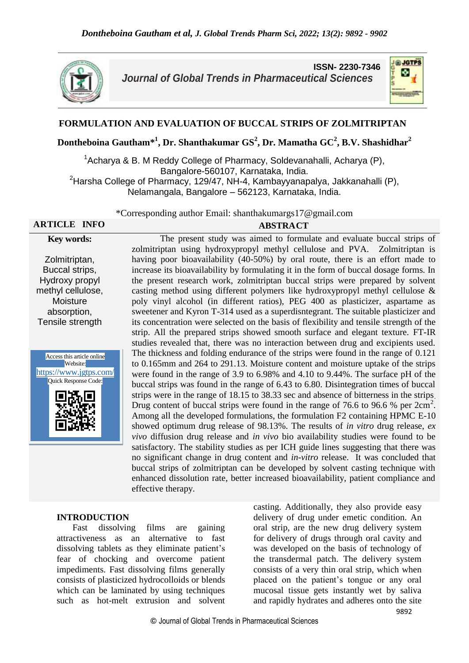

**ISSN- 2230-7346** *Journal of Global Trends in Pharmaceutical Sciences*



## **FORMULATION AND EVALUATION OF BUCCAL STRIPS OF ZOLMITRIPTAN**

**Dontheboina Gautham\*<sup>1</sup> , Dr. Shanthakumar GS<sup>2</sup> , Dr. Mamatha GC<sup>2</sup> , B.V. Shashidhar<sup>2</sup>**

 $1$ Acharya & B. M Reddy College of Pharmacy, Soldevanahalli, Acharya (P), Bangalore-560107, Karnataka, India.  $2$ Harsha College of Pharmacy, 129/47, NH-4, Kambayyanapalya, Jakkanahalli (P), Nelamangala, Bangalore – 562123, Karnataka, India.

\*Corresponding author Email: shanthakumargs17@gmail.com

# **Key words:**

# **ARTICLE INFO ABSTRACT**

Zolmitriptan, Buccal strips, Hydroxy propyl methyl cellulose, Moisture absorption, Tensile strength



The present study was aimed to formulate and evaluate buccal strips of zolmitriptan using hydroxypropyl methyl cellulose and PVA. Zolmitriptan is having poor bioavailability (40-50%) by oral route, there is an effort made to increase its bioavailability by formulating it in the form of buccal dosage forms. In the present research work, zolmitriptan buccal strips were prepared by solvent casting method using different polymers like hydroxypropyl methyl cellulose & poly vinyl alcohol (in different ratios), PEG 400 as plasticizer, aspartame as sweetener and Kyron T-314 used as a superdisntegrant. The suitable plasticizer and its concentration were selected on the basis of flexibility and tensile strength of the strip. All the prepared strips showed smooth surface and elegant texture. FT-IR studies revealed that, there was no interaction between drug and excipients used. The thickness and folding endurance of the strips were found in the range of 0.121 to 0.165mm and 264 to 291.13. Moisture content and moisture uptake of the strips were found in the range of 3.9 to 6.98% and 4.10 to 9.44%. The surface pH of the buccal strips was found in the range of 6.43 to 6.80. Disintegration times of buccal strips were in the range of 18.15 to 38.33 sec and absence of bitterness in the strips. Drug content of buccal strips were found in the range of 76.6 to 96.6 % per 2cm<sup>2</sup>. Among all the developed formulations, the formulation F2 containing HPMC E-10 showed optimum drug release of 98.13%. The results of *in vitro* drug release, *ex vivo* diffusion drug release and *in vivo* bio availability studies were found to be satisfactory. The stability studies as per ICH guide lines suggesting that there was no significant change in drug content and *in-vitro* release. It was concluded that buccal strips of zolmitriptan can be developed by solvent casting technique with enhanced dissolution rate, better increased bioavailability, patient compliance and effective therapy.

#### **INTRODUCTION**

 Fast dissolving films are gaining attractiveness as an alternative to fast dissolving tablets as they eliminate patient's fear of chocking and overcome patient impediments. Fast dissolving films generally consists of plasticized hydrocolloids or blends which can be laminated by using techniques such as hot-melt extrusion and solvent casting. Additionally, they also provide easy delivery of drug under emetic condition. An oral strip, are the new drug delivery system for delivery of drugs through oral cavity and was developed on the basis of technology of the transdermal patch. The delivery system consists of a very thin oral strip, which when placed on the patient's tongue or any oral mucosal tissue gets instantly wet by saliva and rapidly hydrates and adheres onto the site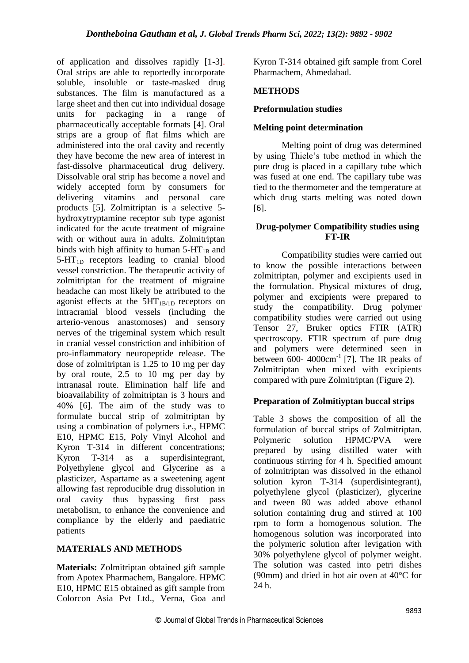of application and dissolves rapidly [1-3]. Oral strips are able to reportedly incorporate soluble, insoluble or taste-masked drug substances. The film is manufactured as a large sheet and then cut into individual dosage units for packaging in a range of pharmaceutically acceptable formats [4]. Oral strips are a group of flat films which are administered into the oral cavity and recently they have become the new area of interest in fast-dissolve pharmaceutical drug delivery. Dissolvable oral strip has become a novel and widely accepted form by consumers for delivering vitamins and personal care products [5]. Zolmitriptan is a selective 5 hydroxytryptamine receptor sub type agonist indicated for the acute treatment of migraine with or without aura in adults. Zolmitriptan binds with high affinity to human  $5-HT_{1B}$  and  $5-HT_{1D}$  receptors leading to cranial blood vessel constriction. The therapeutic activity of zolmitriptan for the treatment of migraine headache can most likely be attributed to the agonist effects at the  $5HT_{1B/1D}$  receptors on intracranial blood vessels (including the arterio-venous anastomoses) and sensory nerves of the trigeminal system which result in cranial vessel constriction and inhibition of pro-inflammatory neuropeptide release. The dose of zolmitriptan is 1.25 to 10 mg per day by oral route, 2.5 to 10 mg per day by intranasal route. Elimination half life and bioavailability of zolmitriptan is 3 hours and 40% [6]. The aim of the study was to formulate buccal strip of zolmitriptan by using a combination of polymers i.e., HPMC E10, HPMC E15, Poly Vinyl Alcohol and Kyron T-314 in different concentrations; Kyron T-314 as a superdisintegrant, Polyethylene glycol and Glycerine as a plasticizer, Aspartame as a sweetening agent allowing fast reproducible drug dissolution in oral cavity thus bypassing first pass metabolism, to enhance the convenience and compliance by the elderly and paediatric patients

## **MATERIALS AND METHODS**

**Materials:** Zolmitriptan obtained gift sample from Apotex Pharmachem, Bangalore. HPMC E10, HPMC E15 obtained as gift sample from Colorcon Asia Pvt Ltd., Verna, Goa and Kyron T-314 obtained gift sample from Corel Pharmachem, Ahmedabad.

## **METHODS**

#### **Preformulation studies**

#### **Melting point determination**

Melting point of drug was determined by using Thiele's tube method in which the pure drug is placed in a capillary tube which was fused at one end. The capillary tube was tied to the thermometer and the temperature at which drug starts melting was noted down [6].

#### **Drug-polymer Compatibility studies using FT-IR**

Compatibility studies were carried out to know the possible interactions between zolmitriptan, polymer and excipients used in the formulation. Physical mixtures of drug, polymer and excipients were prepared to study the compatibility. Drug polymer compatibility studies were carried out using Tensor 27, Bruker optics FTIR (ATR) spectroscopy. FTIR spectrum of pure drug and polymers were determined seen in between  $600-4000 \text{cm}^{-1}$  [7]. The IR peaks of Zolmitriptan when mixed with excipients compared with pure Zolmitriptan (Figure 2).

## **Preparation of Zolmitiyptan buccal strips**

Table 3 shows the composition of all the formulation of buccal strips of Zolmitriptan. Polymeric solution HPMC/PVA were prepared by using distilled water with continuous stirring for 4 h. Specified amount of zolmitriptan was dissolved in the ethanol solution kyron T-314 (superdisintegrant), polyethylene glycol (plasticizer), glycerine and tween 80 was added above ethanol solution containing drug and stirred at 100 rpm to form a homogenous solution. The homogenous solution was incorporated into the polymeric solution after levigation with 30% polyethylene glycol of polymer weight. The solution was casted into petri dishes (90mm) and dried in hot air oven at 40°C for 24 h.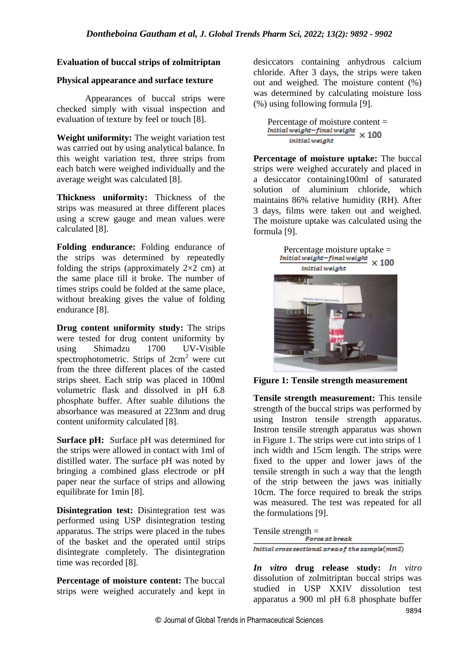#### **Evaluation of buccal strips of zolmitriptan**

#### **Physical appearance and surface texture**

Appearances of buccal strips were checked simply with visual inspection and evaluation of texture by feel or touch [8].

**Weight uniformity:** The weight variation test was carried out by using analytical balance. In this weight variation test, three strips from each batch were weighed individually and the average weight was calculated [8].

**Thickness uniformity:** Thickness of the strips was measured at three different places using a screw gauge and mean values were calculated [8].

**Folding endurance:** Folding endurance of the strips was determined by repeatedly folding the strips (approximately  $2\times2$  cm) at the same place till it broke. The number of times strips could be folded at the same place, without breaking gives the value of folding endurance [8].

**Drug content uniformity study:** The strips were tested for drug content uniformity by using Shimadzu 1700 UV-Visible spectrophotometric. Strips of  $2 \text{cm}^2$  were cut from the three different places of the casted strips sheet. Each strip was placed in 100ml volumetric flask and dissolved in pH 6.8 phosphate buffer. After suable dilutions the absorbance was measured at 223nm and drug content uniformity calculated [8].

**Surface pH:** Surface pH was determined for the strips were allowed in contact with 1ml of distilled water. The surface pH was noted by bringing a combined glass electrode or pH paper near the surface of strips and allowing equilibrate for 1min [8].

**Disintegration test:** Disintegration test was performed using USP disintegration testing apparatus. The strips were placed in the tubes of the basket and the operated until strips disintegrate completely. The disintegration time was recorded [8].

**Percentage of moisture content:** The buccal strips were weighed accurately and kept in desiccators containing anhydrous calcium chloride. After 3 days, the strips were taken out and weighed. The moisture content (%) was determined by calculating moisture loss (%) using following formula [9].

Percentage of moisture content =<br>  $Initial weight$ -final weight  $\times 100$ initial weight

**Percentage of moisture uptake:** The buccal strips were weighed accurately and placed in a desiccator containing100ml of saturated solution of aluminium chloride, which maintains 86% relative humidity (RH). After 3 days, films were taken out and weighed. The moisture uptake was calculated using the formula [9].



**Figure 1: Tensile strength measurement**

**Tensile strength measurement:** This tensile strength of the buccal strips was performed by using Instron tensile strength apparatus. Instron tensile strength apparatus was shown in Figure 1. The strips were cut into strips of 1 inch width and 15cm length. The strips were fixed to the upper and lower jaws of the tensile strength in such a way that the length of the strip between the jaws was initially 10cm. The force required to break the strips was measured. The test was repeated for all the formulations [9].

Tensile strength  $=$ <br>Force at break

Initial cross sectional area of the sample(mm2)

*In vitro* **drug release study:** *In vitro* dissolution of zolmitriptan buccal strips was studied in USP XXIV dissolution test apparatus a 900 ml pH 6.8 phosphate buffer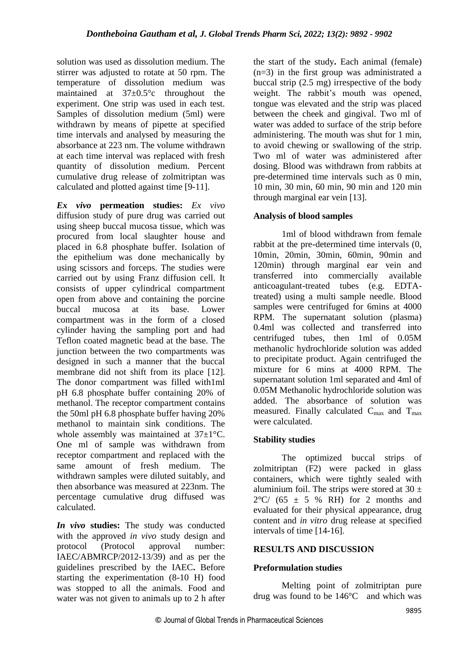solution was used as dissolution medium. The stirrer was adjusted to rotate at 50 rpm. The temperature of dissolution medium was maintained at 37±0.5°c throughout the experiment. One strip was used in each test. Samples of dissolution medium (5ml) were withdrawn by means of pipette at specified time intervals and analysed by measuring the absorbance at 223 nm. The volume withdrawn at each time interval was replaced with fresh quantity of dissolution medium. Percent cumulative drug release of zolmitriptan was calculated and plotted against time [9-11].

*Ex vivo* **permeation studies:** *Ex vivo*  diffusion study of pure drug was carried out using sheep buccal mucosa tissue, which was procured from local slaughter house and placed in 6.8 phosphate buffer. Isolation of the epithelium was done mechanically by using scissors and forceps. The studies were carried out by using Franz diffusion cell. It consists of upper cylindrical compartment open from above and containing the porcine buccal mucosa at its base. Lower compartment was in the form of a closed cylinder having the sampling port and had Teflon coated magnetic bead at the base. The junction between the two compartments was designed in such a manner that the buccal membrane did not shift from its place [12]. The donor compartment was filled with1ml pH 6.8 phosphate buffer containing 20% of methanol. The receptor compartment contains the 50ml pH 6.8 phosphate buffer having 20% methanol to maintain sink conditions. The whole assembly was maintained at 37±1°C. One ml of sample was withdrawn from receptor compartment and replaced with the same amount of fresh medium. The withdrawn samples were diluted suitably, and then absorbance was measured at 223nm. The percentage cumulative drug diffused was calculated.

*In vivo* **studies:** The study was conducted with the approved *in vivo* study design and protocol (Protocol approval number: IAEC/ABMRCP/2012-13/39) and as per the guidelines prescribed by the IAEC**.** Before starting the experimentation (8-10 H) food was stopped to all the animals. Food and water was not given to animals up to 2 h after the start of the study**.** Each animal (female) (n=3) in the first group was administrated a buccal strip (2.5 mg) irrespective of the body weight. The rabbit's mouth was opened, tongue was elevated and the strip was placed between the cheek and gingival. Two ml of water was added to surface of the strip before administering. The mouth was shut for 1 min, to avoid chewing or swallowing of the strip. Two ml of water was administered after dosing. Blood was withdrawn from rabbits at pre-determined time intervals such as 0 min, 10 min, 30 min, 60 min, 90 min and 120 min through marginal ear vein [13].

## **Analysis of blood samples**

1ml of blood withdrawn from female rabbit at the pre-determined time intervals (0, 10min, 20min, 30min, 60min, 90min and 120min) through marginal ear vein and transferred into commercially available anticoagulant-treated tubes (e.g. EDTAtreated) using a multi sample needle. Blood samples were centrifuged for 6mins at 4000 RPM. The supernatant solution (plasma) 0.4ml was collected and transferred into centrifuged tubes, then 1ml of 0.05M methanolic hydrochloride solution was added to precipitate product. Again centrifuged the mixture for 6 mins at 4000 RPM. The supernatant solution 1ml separated and 4ml of 0.05M Methanolic hydrochloride solution was added. The absorbance of solution was measured. Finally calculated  $C_{\text{max}}$  and  $T_{\text{max}}$ were calculated.

## **Stability studies**

The optimized buccal strips of zolmitriptan (F2) were packed in glass containers, which were tightly sealed with aluminium foil. The strips were stored at  $30 \pm$  $2^{\circ}$ C/ (65  $\pm$  5 % RH) for 2 months and evaluated for their physical appearance, drug content and *in vitro* drug release at specified intervals of time [14-16].

## **RESULTS AND DISCUSSION**

#### **Preformulation studies**

Melting point of zolmitriptan pure drug was found to be 146°C and which was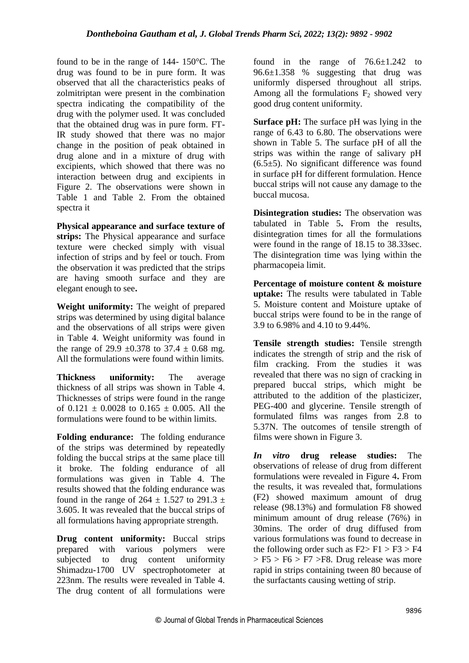found to be in the range of 144- 150°C. The drug was found to be in pure form. It was observed that all the characteristics peaks of zolmitriptan were present in the combination spectra indicating the compatibility of the drug with the polymer used. It was concluded that the obtained drug was in pure form. FT-IR study showed that there was no major change in the position of peak obtained in drug alone and in a mixture of drug with excipients, which showed that there was no interaction between drug and excipients in Figure 2. The observations were shown in Table 1 and Table 2. From the obtained spectra it

**Physical appearance and surface texture of strips:** The Physical appearance and surface texture were checked simply with visual infection of strips and by feel or touch. From the observation it was predicted that the strips are having smooth surface and they are elegant enough to see**.**

**Weight uniformity:** The weight of prepared strips was determined by using digital balance and the observations of all strips were given in Table 4. Weight uniformity was found in the range of 29.9  $\pm 0.378$  to 37.4  $\pm$  0.68 mg. All the formulations were found within limits.

**Thickness uniformity:** The average thickness of all strips was shown in Table 4. Thicknesses of strips were found in the range of  $0.121 \pm 0.0028$  to  $0.165 \pm 0.005$ . All the formulations were found to be within limits.

**Folding endurance:** The folding endurance of the strips was determined by repeatedly folding the buccal strips at the same place till it broke. The folding endurance of all formulations was given in Table 4. The results showed that the folding endurance was found in the range of  $264 \pm 1.527$  to  $291.3 \pm 1.527$ 3.605. It was revealed that the buccal strips of all formulations having appropriate strength.

**Drug content uniformity:** Buccal strips prepared with various polymers were subjected to drug content uniformity Shimadzu-1700 UV spectrophotometer at 223nm. The results were revealed in Table 4. The drug content of all formulations were found in the range of  $76.6 \pm 1.242$  to 96.6±1.358 % suggesting that drug was uniformly dispersed throughout all strips. Among all the formulations  $F_2$  showed very good drug content uniformity.

**Surface pH:** The surface pH was lying in the range of 6.43 to 6.80. The observations were shown in Table 5. The surface pH of all the strips was within the range of salivary pH  $(6.5±5)$ . No significant difference was found in surface pH for different formulation. Hence buccal strips will not cause any damage to the buccal mucosa.

**Disintegration studies:** The observation was tabulated in Table 5**.** From the results, disintegration times for all the formulations were found in the range of 18.15 to 38.33sec. The disintegration time was lying within the pharmacopeia limit.

**Percentage of moisture content & moisture uptake:** The results were tabulated in Table 5. Moisture content and Moisture uptake of buccal strips were found to be in the range of 3.9 to 6.98% and 4.10 to 9.44%.

**Tensile strength studies:** Tensile strength indicates the strength of strip and the risk of film cracking. From the studies it was revealed that there was no sign of cracking in prepared buccal strips, which might be attributed to the addition of the plasticizer, PEG-400 and glycerine. Tensile strength of formulated films was ranges from 2.8 to 5.37N. The outcomes of tensile strength of films were shown in Figure 3.

*In vitro* **drug release studies:** The observations of release of drug from different formulations were revealed in Figure 4**.** From the results, it was revealed that, formulations (F2) showed maximum amount of drug release (98.13%) and formulation F8 showed minimum amount of drug release (76%) in 30mins. The order of drug diffused from various formulations was found to decrease in the following order such as  $F2 > F1 > F3 > F4$  $>$  F5  $>$  F6  $>$  F7  $>$  F8. Drug release was more rapid in strips containing tween 80 because of the surfactants causing wetting of strip.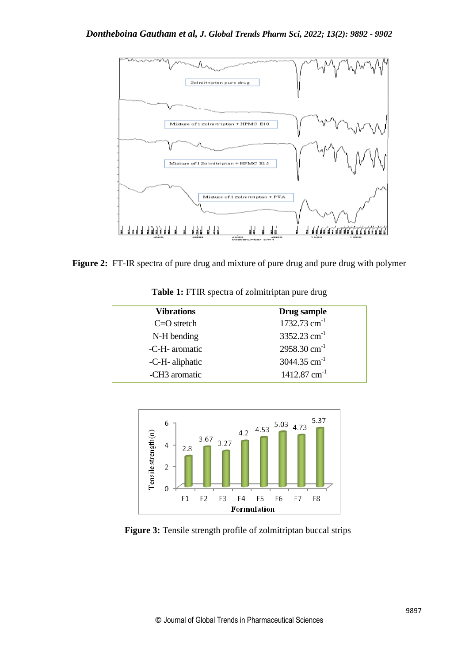

**Figure 2:** FT-IR spectra of pure drug and mixture of pure drug and pure drug with polymer

| <b>Vibrations</b> | Drug sample                |
|-------------------|----------------------------|
| $C = O$ stretch   | 1732.73 $cm^{-1}$          |
| N-H bending       | $3352.23$ cm <sup>-1</sup> |
| -C-H- aromatic    | $2958.30$ cm <sup>-1</sup> |
| -C-H- aliphatic   | 3044.35 cm <sup>-1</sup>   |
| -CH3 aromatic     | $1412.87$ cm <sup>-1</sup> |
|                   |                            |

**Table 1:** FTIR spectra of zolmitriptan pure drug



**Figure 3:** Tensile strength profile of zolmitriptan buccal strips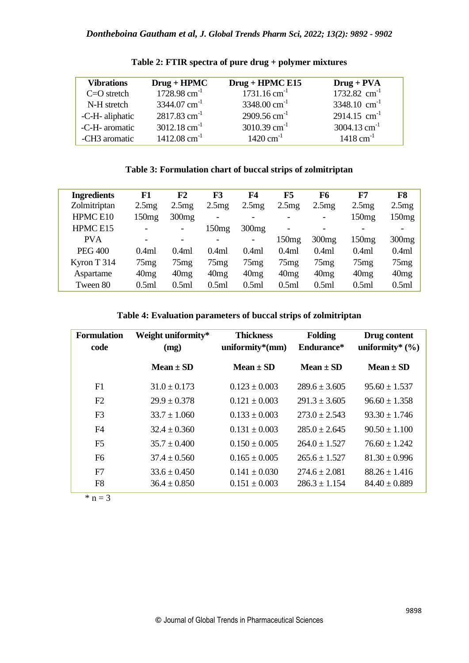| <b>Vibrations</b> | $Drug + HPMC$              | Drug + HPMC E15            | $Drug + PVA$               |
|-------------------|----------------------------|----------------------------|----------------------------|
| $C = O$ stretch   | $1728.98$ cm <sup>-1</sup> | $1731.16$ cm <sup>-1</sup> | 1732.82 $cm^{-1}$          |
| N-H stretch       | $3344.07$ cm <sup>-1</sup> | $3348.00 \text{ cm}^{-1}$  | $3348.10$ cm <sup>-1</sup> |
| -C-H- aliphatic   | $2817.83$ cm <sup>-1</sup> | $2909.56$ cm <sup>-1</sup> | $2914.15$ cm <sup>-1</sup> |
| -C-H- aromatic    | $3012.18$ cm <sup>-1</sup> | $3010.39$ cm <sup>-1</sup> | $3004.13$ cm <sup>-1</sup> |
| -CH3 aromatic     | $1412.08$ cm <sup>-1</sup> | $1420 \text{ cm}^{-1}$     | $1418$ cm <sup>-1</sup>    |

**Table 2: FTIR spectra of pure drug + polymer mixtures**

## **Table 3: Formulation chart of buccal strips of zolmitriptan**

| <b>Ingredients</b>  | F1    | F2                       | F3                           | F4    | F5                       | F6             | F7    | F8    |
|---------------------|-------|--------------------------|------------------------------|-------|--------------------------|----------------|-------|-------|
| Zolmitriptan        | 2.5mg | 2.5mg                    | 2.5mg                        | 2.5mg | 2.5mg                    | 2.5mg          | 2.5mg | 2.5mg |
| HPMC <sub>E10</sub> | 150mg | 300mg                    | $\qquad \qquad \blacksquare$ |       | -                        | $\blacksquare$ | 150mg | 150mg |
| HPMC E15            |       | -                        | 150mg                        | 300mg | $\overline{\phantom{0}}$ |                |       |       |
| <b>PVA</b>          |       | $\overline{\phantom{a}}$ |                              |       | 150mg                    | 300mg          | 150mg | 300mg |
| <b>PEG 400</b>      | 0.4ml | 0.4ml                    | 0.4ml                        | 0.4ml | 0.4ml                    | 0.4ml          | 0.4ml | 0.4ml |
| Kyron T 314         | 75mg  | 75mg                     | 75mg                         | 75mg  | 75mg                     | 75mg           | 75mg  | 75mg  |
| Aspartame           | 40mg  | 40mg                     | 40mg                         | 40mg  | 40mg                     | 40mg           | 40mg  | 40mg  |
| Tween 80            | 0.5ml | 0.5ml                    | 0.5ml                        | 0.5ml | 0.5ml                    | 0.5ml          | 0.5ml | 0.5ml |

**Table 4: Evaluation parameters of buccal strips of zolmitriptan**

| <b>Formulation</b><br>code | Weight uniformity*<br>(mg) | <b>Thickness</b><br>uniformity $*(mm)$ | <b>Folding</b><br>Endurance* | Drug content<br>uniformity* $(\% )$ |
|----------------------------|----------------------------|----------------------------------------|------------------------------|-------------------------------------|
|                            | $Mean + SD$                | $Mean + SD$                            | $Mean + SD$                  | $Mean + SD$                         |
| F1                         | $31.0 + 0.173$             | $0.123 + 0.003$                        | $289.6 + 3.605$              | $95.60 \pm 1.537$                   |
| F2                         | $29.9 + 0.378$             | $0.121 + 0.003$                        | $291.3 \pm 3.605$            | $96.60 \pm 1.358$                   |
| F <sub>3</sub>             | $33.7 + 1.060$             | $0.133 \pm 0.003$                      | $273.0 + 2.543$              | $93.30 \pm 1.746$                   |
| F <sub>4</sub>             | $32.4 + 0.360$             | $0.131 \pm 0.003$                      | $285.0 \pm 2.645$            | $90.50 \pm 1.100$                   |
| F <sub>5</sub>             | $35.7 + 0.400$             | $0.150 \pm 0.005$                      | $264.0 + 1.527$              | $76.60 + 1.242$                     |
| F <sub>6</sub>             | $37.4 + 0.560$             | $0.165 \pm 0.005$                      | $265.6 + 1.527$              | $81.30 \pm 0.996$                   |
| F7                         | $33.6 + 0.450$             | $0.141 + 0.030$                        | $274.6 \pm 2.081$            | $88.26 \pm 1.416$                   |
| F <sub>8</sub>             | $36.4 \pm 0.850$           | $0.151 \pm 0.003$                      | $286.3 \pm 1.154$            | $84.40 \pm 0.889$                   |

 $* n = 3$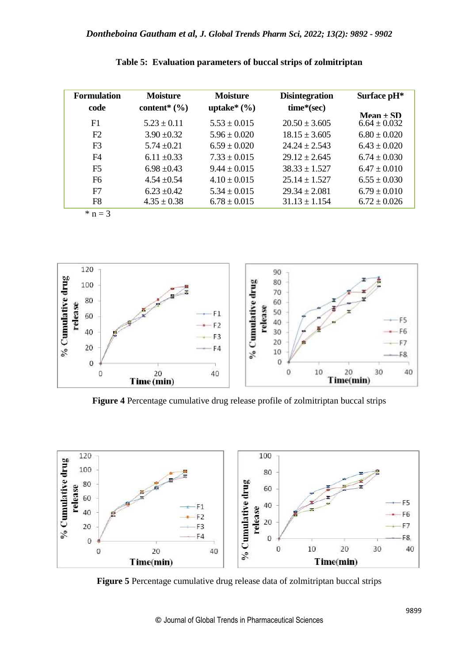| <b>Formulation</b> | <b>Moisture</b>              | <b>Moisture</b>  | <b>Disintegration</b> | Surface pH <sup>*</sup> |
|--------------------|------------------------------|------------------|-----------------------|-------------------------|
| code               | content <sup>*</sup> $(\% )$ | uptake $*(\%)$   | time*(sec)            |                         |
|                    |                              |                  |                       | $Mean + SD$             |
| F1                 | $5.23 \pm 0.11$              | $5.53 \pm 0.015$ | $20.50 \pm 3.605$     | $6.64 \pm 0.032$        |
| F2                 | $3.90 \pm 0.32$              | $5.96 + 0.020$   | $18.15 + 3.605$       | $6.80 + 0.020$          |
| F <sub>3</sub>     | $5.74 \pm 0.21$              | $6.59 + 0.020$   | $24.24 + 2.543$       | $6.43 \pm 0.020$        |
| F4                 | $6.11 \pm 0.33$              | $7.33 \pm 0.015$ | $29.12 \pm 2.645$     | $6.74 \pm 0.030$        |
| F <sub>5</sub>     | $6.98 \pm 0.43$              | $9.44 + 0.015$   | $38.33 + 1.527$       | $6.47 + 0.010$          |
| F <sub>6</sub>     | $4.54 \pm 0.54$              | $4.10 \pm 0.015$ | $25.14 + 1.527$       | $6.55 \pm 0.030$        |
| F7                 | $6.23 \pm 0.42$              | $5.34 \pm 0.015$ | $29.34 \pm 2.081$     | $6.79 \pm 0.010$        |
| F8                 | $4.35 \pm 0.38$              | $6.78 \pm 0.015$ | $31.13 \pm 1.154$     | $6.72 \pm 0.026$        |
| $*$ n = 3          |                              |                  |                       |                         |





**Figure 4** Percentage cumulative drug release profile of zolmitriptan buccal strips



**Figure 5** Percentage cumulative drug release data of zolmitriptan buccal strips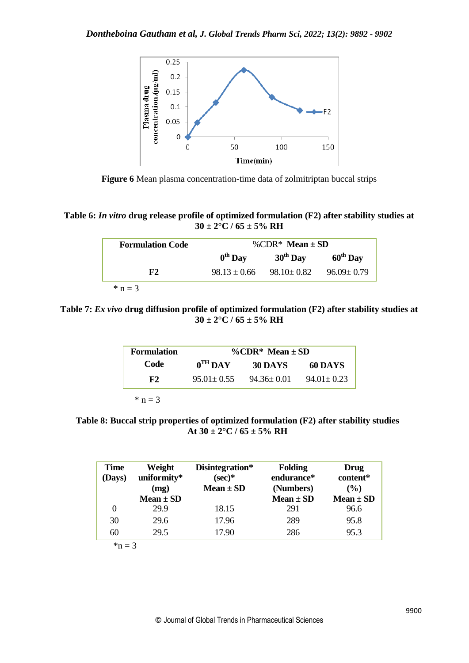

**Figure 6** Mean plasma concentration-time data of zolmitriptan buccal strips

**Table 6:** *In vitro* **drug release profile of optimized formulation (F2) after stability studies at 30 ± 2°C / 65 ± 5% RH**

| <b>Formulation Code</b> | %CDR* Mean + $SD$   |                   |                      |  |
|-------------------------|---------------------|-------------------|----------------------|--|
|                         | $0^{\text{th}}$ Day | $30th$ Day        | $60^{\text{th}}$ Day |  |
| ${\bf F2}$              | $98.13 \pm 0.66$    | $98.10 \div 0.82$ | $96.09 \pm 0.79$     |  |
| $*$ n = 3               |                     |                   |                      |  |

**Table 7:** *Ex vivo* **drug diffusion profile of optimized formulation (F2) after stability studies at**   $30 \pm 2^{\circ}$ C / 65  $\pm$  5% RH

| $\%$ CDR* Mean $\pm$ SD |                |                  |                     | <b>Formulation</b> |
|-------------------------|----------------|------------------|---------------------|--------------------|
|                         | 60 DAYS        | <b>30 DAYS</b>   | $0^{\text{TH}}$ DAY | Code               |
|                         | $94.01 + 0.23$ | $94.36 \pm 0.01$ | $95.01 + 0.55$      | F2                 |
|                         |                |                  |                     |                    |

 $* n = 3$ 

**Table 8: Buccal strip properties of optimized formulation (F2) after stability studies** At  $30 \pm 2^{\circ}$ C /  $65 \pm 5\%$  RH

| <b>Time</b><br>(Days) | Weight<br>uniformity*<br>(mg)<br>$Mean \pm SD$ | Disintegration*<br>$(\sec)*$<br>$Mean \pm SD$ | <b>Folding</b><br>endurance*<br>(Numbers)<br>$Mean \pm SD$ | Drug<br>content*<br>(%)<br>$Mean \pm SD$ |
|-----------------------|------------------------------------------------|-----------------------------------------------|------------------------------------------------------------|------------------------------------------|
| $_{0}$                | 29.9                                           | 18.15                                         | 291                                                        | 96.6                                     |
| 30                    | 29.6                                           | 17.96                                         | 289                                                        | 95.8                                     |
| 60                    | 29.5                                           | 17.90                                         | 286                                                        | 95.3                                     |

 $n = 3$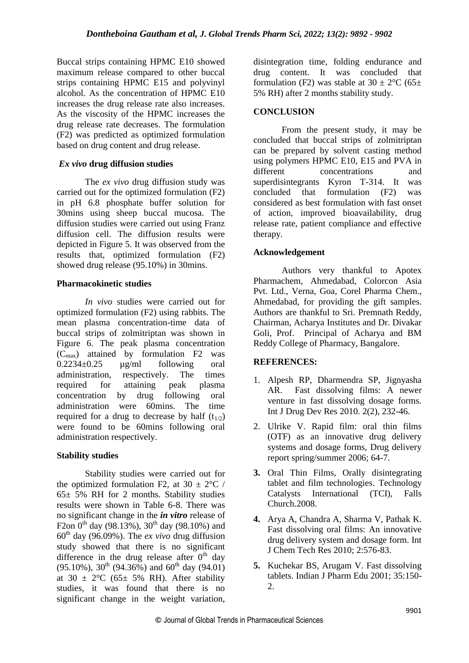Buccal strips containing HPMC E10 showed maximum release compared to other buccal strips containing HPMC E15 and polyvinyl alcohol. As the concentration of HPMC E10 increases the drug release rate also increases. As the viscosity of the HPMC increases the drug release rate decreases. The formulation (F2) was predicted as optimized formulation based on drug content and drug release.

## *Ex vivo* **drug diffusion studies**

The *ex vivo* drug diffusion study was carried out for the optimized formulation (F2) in pH 6.8 phosphate buffer solution for 30mins using sheep buccal mucosa. The diffusion studies were carried out using Franz diffusion cell. The diffusion results were depicted in Figure 5. It was observed from the results that, optimized formulation (F2) showed drug release (95.10%) in 30mins.

#### **Pharmacokinetic studies**

*In vivo* studies were carried out for optimized formulation (F2) using rabbits. The mean plasma concentration-time data of buccal strips of zolmitriptan was shown in Figure 6. The peak plasma concentration  $(C<sub>max</sub>)$  attained by formulation F2 was  $0.2234\pm0.25$   $\mu$ g/ml following oral administration, respectively. The times required for attaining peak plasma concentration by drug following oral administration were 60mins. The time required for a drug to decrease by half  $(t_{1/2})$ were found to be 60mins following oral administration respectively.

#### **Stability studies**

Stability studies were carried out for the optimized formulation F2, at  $30 \pm 2^{\circ}C$  / 65± 5% RH for 2 months. Stability studies results were shown in Table 6-8. There was no significant change in the *in vitro* release of F2on  $0^{th}$  day (98.13%),  $30^{th}$  day (98.10%) and  $60<sup>th</sup>$  day (96.09%). The *ex vivo* drug diffusion study showed that there is no significant difference in the drug release after  $0<sup>th</sup>$  day  $(95.10\%)$ ,  $30^{th}$   $(94.36\%)$  and  $60^{th}$  day  $(94.01)$ at  $30 \pm 2$ °C (65± 5% RH). After stability studies, it was found that there is no significant change in the weight variation,

disintegration time, folding endurance and drug content. It was concluded that formulation (F2) was stable at  $30 \pm 2$ °C (65 $\pm$ 5% RH) after 2 months stability study.

## **CONCLUSION**

From the present study, it may be concluded that buccal strips of zolmitriptan can be prepared by solvent casting method using polymers HPMC E10, E15 and PVA in different concentrations and superdisintegrants Kyron T-314. It was concluded that formulation (F2) was considered as best formulation with fast onset of action, improved bioavailability, drug release rate, patient compliance and effective therapy.

#### **Acknowledgement**

Authors very thankful to Apotex Pharmachem, Ahmedabad, Colorcon Asia Pvt. Ltd., Verna, Goa, Corel Pharma Chem., Ahmedabad, for providing the gift samples. Authors are thankful to Sri. Premnath Reddy, Chairman, Acharya Institutes and Dr. Divakar Goli, Prof. Principal of Acharya and BM Reddy College of Pharmacy, Bangalore.

#### **REFERENCES:**

- 1. Alpesh RP, Dharmendra SP, Jignyasha AR. Fast dissolving films: A newer venture in fast dissolving dosage forms*.*  Int J Drug Dev Res 2010. 2(2), 232-46.
- 2. Ulrike V. Rapid film: oral thin films (OTF) as an innovative drug delivery systems and dosage forms, Drug delivery report spring/summer 2006; 64-7.
- **3.** Oral Thin Films, Orally disintegrating tablet and film technologies. Technology Catalysts International (TCI), Falls Church.2008.
- **4.** Arya A, Chandra A, Sharma V, Pathak K. Fast dissolving oral films: An innovative drug delivery system and dosage form. Int J Chem Tech Res 2010; 2:576-83.
- **5.** Kuchekar BS, Arugam V. Fast dissolving tablets. Indian J Pharm Edu 2001; 35:150- 2.